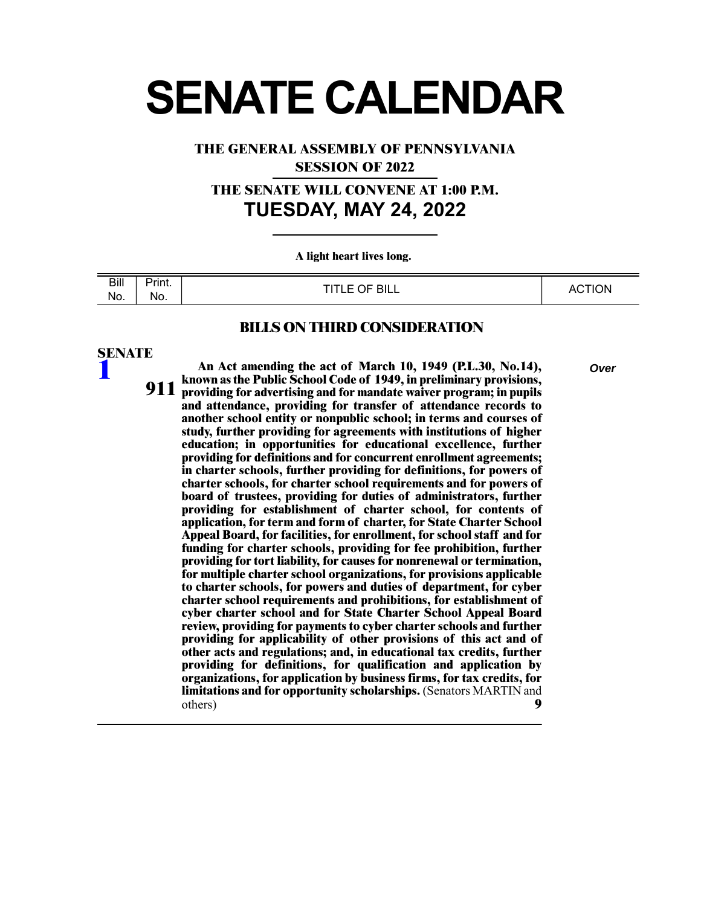# **SENATE CALENDAR**

**THE GENERAL ASSEMBLY OF PENNSYLVANIA**

**SESSION OF 2022**

**THE SENATE WILL CONVENE AT 1:00 P.M. TUESDAY, MAY 24, 2022**

**A light heart lives long.** 

| Bill | - -<br><b>Print.</b> | <b>OF BILL</b><br>---- | <b>CTION</b><br>Δ1 |
|------|----------------------|------------------------|--------------------|
| No.  | No.                  | ᄕ                      | ∼                  |

## **BILLS ON THIRD CONSIDERATION**

# **SENATE**

**[1](/cfdocs/billinfo/billinfo.cfm?syear=2021&sind=0&body=S&type=B&bn=1)**

**An Act amending the act of March 10, 1949 (P.L.30, No.14),** *Over* **known as the Public School Code of 1949, in preliminary provisions, providing for advertising and for mandate waiver program; in pupils and attendance, providing for transfer of attendance records to another school entity or nonpublic school; in terms and courses of study, further providing for agreements with institutions of higher 911 education; in opportunities for educational excellence, further providing for definitions and for concurrent enrollment agreements; in charter schools, further providing for definitions, for powers of charter schools, for charter school requirements and for powers of board of trustees, providing for duties of administrators, further providing for establishment of charter school, for contents of application, for term and form of charter, for State Charter School Appeal Board, for facilities, for enrollment, for school staff and for funding for charter schools, providing for fee prohibition, further providing for tort liability, for causes for nonrenewal or termination, for multiple charter school organizations, for provisions applicable to charter schools, for powers and duties of department, for cyber charter school requirements and prohibitions, for establishment of cyber charter school and for State Charter School Appeal Board review, providing for payments to cyber charter schools and further providing for applicability of other provisions of this act and of other acts and regulations; and, in educational tax credits, further providing for definitions, for qualification and application by organizations, for application by business firms, for tax credits, for limitations and for opportunity scholarships.** (Senators MARTIN and others) **9**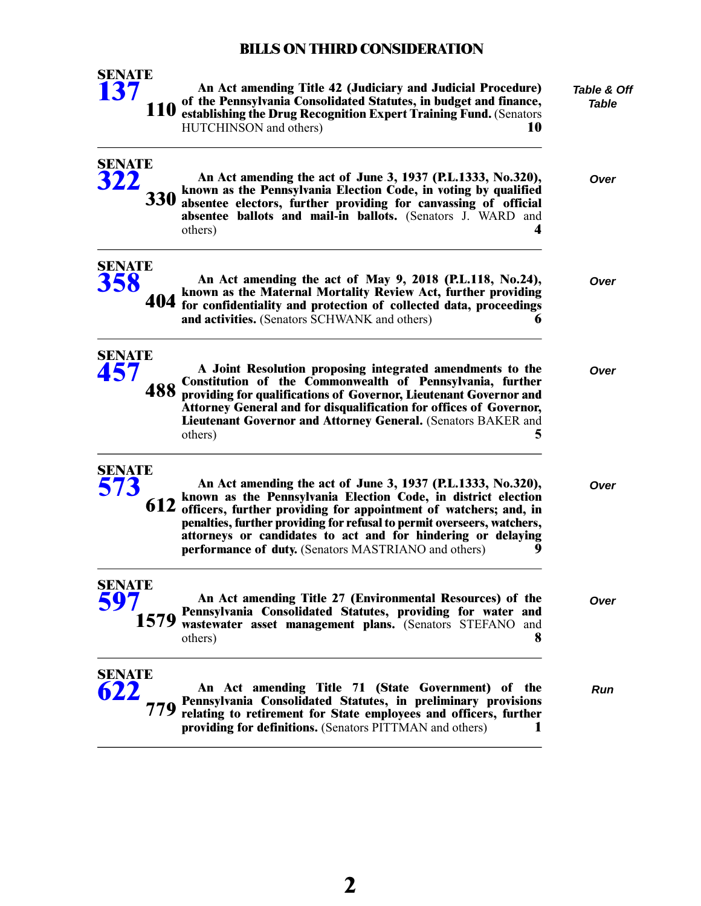| <b>SENATE</b><br>137 | <b>110</b> | An Act amending Title 42 (Judiciary and Judicial Procedure)<br>of the Pennsylvania Consolidated Statutes, in budget and finance,<br>establishing the Drug Recognition Expert Training Fund. (Senators<br>HUTCHINSON and others)<br>10                                                                                                                                                                           | Table & Off<br>Table |
|----------------------|------------|-----------------------------------------------------------------------------------------------------------------------------------------------------------------------------------------------------------------------------------------------------------------------------------------------------------------------------------------------------------------------------------------------------------------|----------------------|
| <b>SENATE</b><br>322 | <b>330</b> | An Act amending the act of June 3, 1937 (P.L.1333, No.320),<br>known as the Pennsylvania Election Code, in voting by qualified<br>absentee electors, further providing for canvassing of official<br>absentee ballots and mail-in ballots. (Senators J. WARD and<br>others)<br>4                                                                                                                                | Over                 |
| <b>SENATE</b><br>358 |            | An Act amending the act of May 9, 2018 (P.L.118, No.24),<br>known as the Maternal Mortality Review Act, further providing<br>404 for confidentiality and protection of collected data, proceedings<br>and activities. (Senators SCHWANK and others)                                                                                                                                                             | Over                 |
| <b>SENATE</b><br>457 | 488        | A Joint Resolution proposing integrated amendments to the<br>Constitution of the Commonwealth of Pennsylvania, further<br>providing for qualifications of Governor, Lieutenant Governor and<br>Attorney General and for disqualification for offices of Governor,<br>Lieutenant Governor and Attorney General. (Senators BAKER and<br>others)<br>5                                                              | Over                 |
| <b>SENATE</b><br>573 | 612        | An Act amending the act of June 3, 1937 (P.L.1333, No.320),<br>known as the Pennsylvania Election Code, in district election<br>officers, further providing for appointment of watchers; and, in<br>penalties, further providing for refusal to permit overseers, watchers,<br>attorneys or candidates to act and for hindering or delaying<br><b>performance of duty.</b> (Senators MASTRIANO and others)<br>9 | Over                 |
| <b>SENATE</b><br>597 | 1579       | An Act amending Title 27 (Environmental Resources) of the<br>Pennsylvania Consolidated Statutes, providing for water and<br>wastewater asset management plans. (Senators STEFANO and<br>x<br>others)                                                                                                                                                                                                            | Over                 |
| <b>SENATE</b><br>622 | 779        | An Act amending Title 71 (State Government) of the<br>Pennsylvania Consolidated Statutes, in preliminary provisions<br>relating to retirement for State employees and officers, further<br>providing for definitions. (Senators PITTMAN and others)                                                                                                                                                             | Run                  |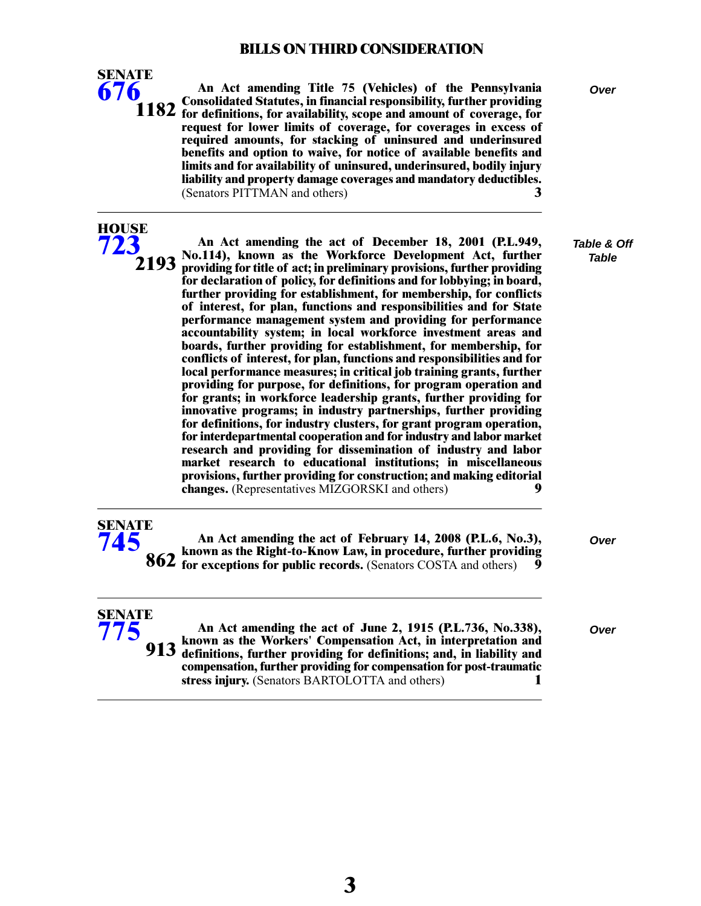

**HOUSE [723](/cfdocs/billinfo/billinfo.cfm?syear=2021&sind=0&body=H&type=B&bn=723)**

**An Act amending Title 75 (Vehicles) of the Pennsylvania** *Over* **Consolidated Statutes, in financial responsibility, further providing for definitions, for availability, scope and amount of coverage, for request for lower limits of coverage, for coverages in excess of required amounts, for stacking of uninsured and underinsured benefits and option to waive, for notice of available benefits and limits and for availability of uninsured, underinsured, bodily injury liability and property damage coverages and mandatory deductibles.** (Senators PITTMAN and others) **3**

*Table & Off Table*

| ,,, |                                                                                                                                             |
|-----|---------------------------------------------------------------------------------------------------------------------------------------------|
|     | An Act amending the act of December 18, 2001 (P.L.949,<br>No.114), known as the Workforce Development Act, further                          |
|     | $2193$ providing for title of act; in preliminary provisions, further providing                                                             |
|     | for declaration of policy, for definitions and for lobbying; in board,                                                                      |
|     | further providing for establishment, for membership, for conflicts                                                                          |
|     | of interest, for plan, functions and responsibilities and for State<br>performance management system and providing for performance          |
|     | accountability system; in local workforce investment areas and                                                                              |
|     | boards, further providing for establishment, for membership, for<br>conflicts of interest, for plan, functions and responsibilities and for |
|     | local performance measures; in critical job training grants, further                                                                        |
|     | providing for purpose, for definitions, for program operation and                                                                           |
|     | for grants; in workforce leadership grants, further providing for                                                                           |
|     | innovative programs; in industry partnerships, further providing                                                                            |
|     | for definitions, for industry clusters, for grant program operation,                                                                        |
|     | for interdepartmental cooperation and for industry and labor market<br>research and providing for dissemination of industry and labor       |
|     | market research to educational institutions; in miscellaneous                                                                               |
|     | provisions, further providing for construction; and making editorial                                                                        |
|     | changes. (Representatives MIZGORSKI and others)<br>9                                                                                        |
|     |                                                                                                                                             |

| SENATE |  |
|--------|--|
|        |  |
|        |  |

**SENATE [775](/cfdocs/billinfo/billinfo.cfm?syear=2021&sind=0&body=S&type=B&bn=775)**

**An Act amending the act of February 14, 2008 (P.L.6, No.3),** *Over* **known as the Right-to-Know Law, in procedure, further providing for exceptions for public records.** (Senators COSTA and others) 9

**An Act amending the act of June 2, 1915 (P.L.736, No.338),** *Over* **known as the Workers' Compensation Act, in interpretation and definitions, further providing for definitions; and, in liability and compensation, further providing for compensation for post-traumatic stress injury.** (Senators BARTOLOTTA and others) **1 913**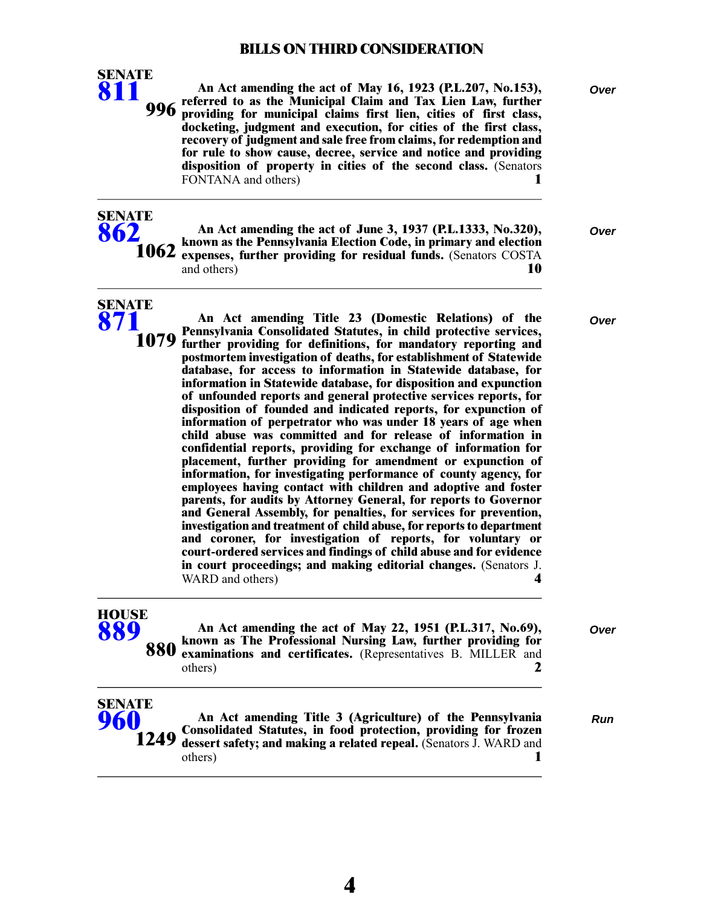

**SENATE [862](/cfdocs/billinfo/billinfo.cfm?syear=2021&sind=0&body=S&type=B&bn=862)**

**SENATE [871](/cfdocs/billinfo/billinfo.cfm?syear=2021&sind=0&body=S&type=B&bn=871)**

**[960](/cfdocs/billinfo/billinfo.cfm?syear=2021&sind=0&body=S&type=B&bn=960)**

**1249**

**An Act amending the act of May 16, 1923 (P.L.207, No.153),** *Over* **referred to as the Municipal Claim and Tax Lien Law, further providing for municipal claims first lien, cities of first class, docketing, judgment and execution, for cities of the first class, recovery of judgment and sale free from claims, for redemption and for rule to show cause, decree, service and notice and providing disposition of property in cities of the second class.** (Senators FONTANA and others) **1 996**

**An Act amending the act of June 3, 1937 (P.L.1333, No.320),** *Over*

**known as the Pennsylvania Election Code, in primary and election expenses, further providing for residual funds.** (Senators COSTA and others) **10 1062**

**An Act amending Title 23 (Domestic Relations) of the** *Over* **Pennsylvania Consolidated Statutes, in child protective services, further providing for definitions, for mandatory reporting and postmortem investigation of deaths, for establishment of Statewide database, for access to information in Statewide database, for information in Statewide database, for disposition and expunction of unfounded reports and general protective services reports, for disposition of founded and indicated reports, for expunction of information of perpetrator who was under 18 years of age when child abuse was committed and for release of information in confidential reports, providing for exchange of information for placement, further providing for amendment or expunction of information, for investigating performance of county agency, for employees having contact with children and adoptive and foster parents, for audits by Attorney General, for reports to Governor and General Assembly, for penalties, for services for prevention, investigation and treatment of child abuse, for reports to department and coroner, for investigation of reports, for voluntary or court-ordered services and findings of child abuse and for evidence in court proceedings; and making editorial changes.** (Senators J. WARD and others) WARD and others) **4**

| <b>HOUSE</b><br>889  | An Act amending the act of May 22, 1951 (P.L.317, No.69),<br>880 known as The Professional Nursing Law, further providing for<br>880 examinations and certificates. (Representatives B. MILLER and<br>others) |     |
|----------------------|---------------------------------------------------------------------------------------------------------------------------------------------------------------------------------------------------------------|-----|
| <b>SENATE</b><br>060 | An Act amending Title 3 (Agriculture) of the Pennsylvania                                                                                                                                                     | Run |

**Consolidated Statutes, in food protection, providing for frozen dessert safety; and making a related repeal.** (Senators J. WARD and others) **1**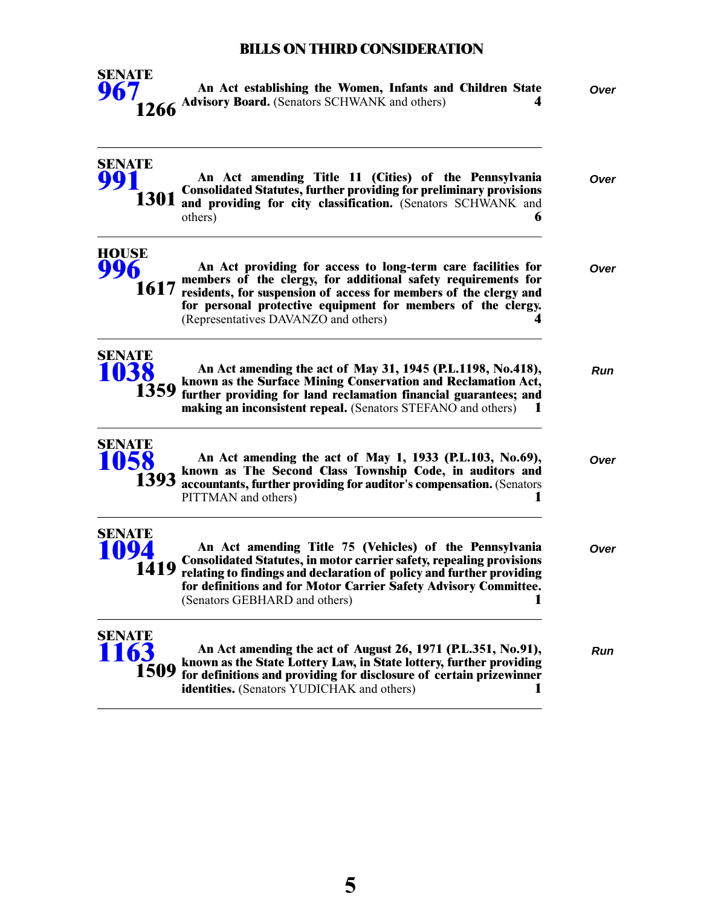

**An Act establishing the Women, Infants and Children State** *Over* **Advisory Board.** (Senators SCHWANK and others) **4** 

| <b>SENATE</b>                      | An Act amending Title 11 (Cities) of the Pennsylvania<br><b>Consolidated Statutes, further providing for preliminary provisions</b><br>1301 and providing for city classification. (Senators SCHWANK and<br>others)<br>6                                                                                            | Over |
|------------------------------------|---------------------------------------------------------------------------------------------------------------------------------------------------------------------------------------------------------------------------------------------------------------------------------------------------------------------|------|
| HOUSE                              | An Act providing for access to long-term care facilities for<br>members of the clergy, for additional safety requirements for<br>1617 residents, for suspension of access for members of the clergy and<br>for personal protective equipment for members of the clergy.<br>(Representatives DAVANZO and others)     | Over |
| <b>SENATE</b><br>1038              | An Act amending the act of May 31, 1945 (P.L.1198, No.418),<br>known as the Surface Mining Conservation and Reclamation Act,<br>1359 further providing for land reclamation financial guarantees; and<br>making an inconsistent repeal. (Senators STEFANO and others)                                               | Run  |
| SENATE<br>058<br>1393              | An Act amending the act of May 1, 1933 (P.L.103, No.69),<br>known as The Second Class Township Code, in auditors and<br>accountants, further providing for auditor's compensation. (Senators<br>PITTMAN and others)                                                                                                 | Over |
| <b>SENATE</b><br><b>94</b><br>1419 | An Act amending Title 75 (Vehicles) of the Pennsylvania<br><b>Consolidated Statutes, in motor carrier safety, repealing provisions</b><br>relating to findings and declaration of policy and further providing<br>for definitions and for Motor Carrier Safety Advisory Committee.<br>(Senators GEBHARD and others) | Over |
| SENATE<br>163                      | An Act amending the act of August 26, 1971 (P.L.351, No.91),<br>known as the State Lottery Law, in State lottery, further providing<br>1509 for definitions and providing for disclosure of certain prizewinner<br><b>identities.</b> (Senators YUDICHAK and others)                                                | Run  |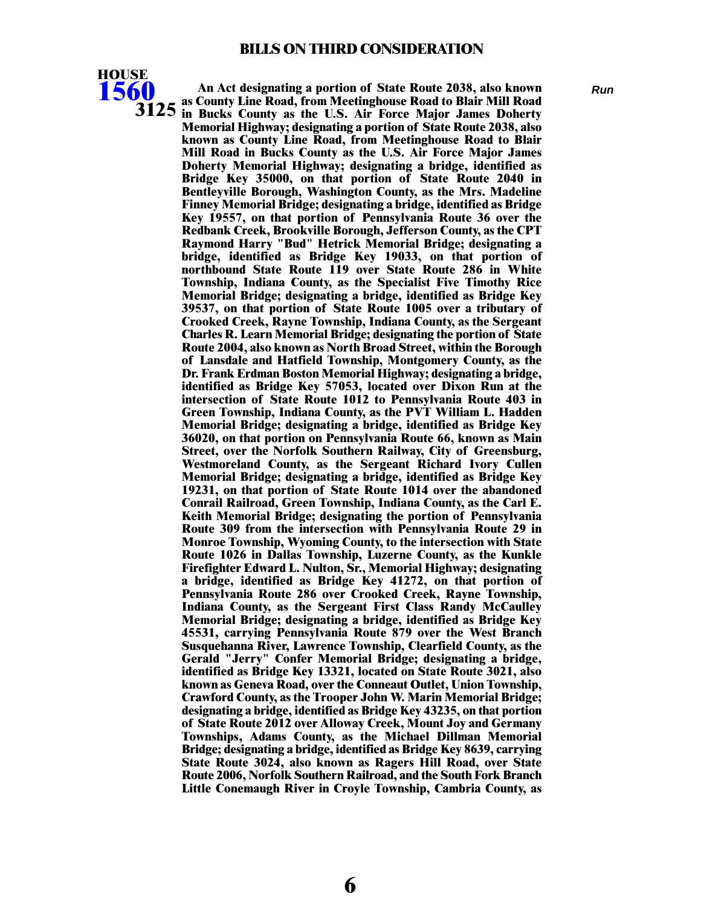

**An Act designating a portion of State Route 2038, also known** *Run* **as County Line Road, from Meetinghouse Road to Blair Mill Road in Bucks County as the U.S. Air Force Major James Doherty 3125 Memorial Highway; designating a portion of State Route 2038, also known as County Line Road, from Meetinghouse Road to Blair Mill Road in Bucks County as the U.S. Air Force Major James Doherty Memorial Highway; designating a bridge, identified as Bridge Key 35000, on that portion of State Route 2040 in Bentleyville Borough, Washington County, as the Mrs. Madeline Finney Memorial Bridge; designating a bridge, identified as Bridge Key 19557, on that portion of Pennsylvania Route 36 over the Redbank Creek, Brookville Borough, Jefferson County, as the CPT Raymond Harry "Bud" Hetrick Memorial Bridge; designating a bridge, identified as Bridge Key 19033, on that portion of northbound State Route 119 over State Route 286 in White Township, Indiana County, as the Specialist Five Timothy Rice Memorial Bridge; designating a bridge, identified as Bridge Key 39537, on that portion of State Route 1005 over a tributary of Crooked Creek, Rayne Township, Indiana County, as the Sergeant Charles R. Learn Memorial Bridge; designating the portion of State Route 2004, also known as North Broad Street, within the Borough of Lansdale and Hatfield Township, Montgomery County, as the Dr. Frank Erdman Boston Memorial Highway; designating a bridge, identified as Bridge Key 57053, located over Dixon Run at the intersection of State Route 1012 to Pennsylvania Route 403 in Green Township, Indiana County, as the PVT William L. Hadden Memorial Bridge; designating a bridge, identified as Bridge Key 36020, on that portion on Pennsylvania Route 66, known as Main Street, over the Norfolk Southern Railway, City of Greensburg, Westmoreland County, as the Sergeant Richard Ivory Cullen Memorial Bridge; designating a bridge, identified as Bridge Key 19231, on that portion of State Route 1014 over the abandoned Conrail Railroad, Green Township, Indiana County, as the Carl E. Keith Memorial Bridge; designating the portion of Pennsylvania Route 309 from the intersection with Pennsylvania Route 29 in Monroe Township, Wyoming County, to the intersection with State Route 1026 in Dallas Township, Luzerne County, as the Kunkle Firefighter Edward L. Nulton, Sr., Memorial Highway; designating a bridge, identified as Bridge Key 41272, on that portion of Pennsylvania Route 286 over Crooked Creek, Rayne Township, Indiana County, as the Sergeant First Class Randy McCaulley Memorial Bridge; designating a bridge, identified as Bridge Key 45531, carrying Pennsylvania Route 879 over the West Branch Susquehanna River, Lawrence Township, Clearfield County, as the Gerald "Jerry" Confer Memorial Bridge; designating a bridge, identified as Bridge Key 13321, located on State Route 3021, also known as Geneva Road, over the Conneaut Outlet, Union Township, Crawford County, as the Trooper John W. Marin Memorial Bridge; designating a bridge, identified as Bridge Key 43235, on that portion of State Route 2012 over Alloway Creek, Mount Joy and Germany Townships, Adams County, as the Michael Dillman Memorial Bridge; designating a bridge, identified as Bridge Key 8639, carrying State Route 3024, also known as Ragers Hill Road, over State Route 2006, Norfolk Southern Railroad, and the South Fork Branch Little Conemaugh River in Croyle Township, Cambria County, as**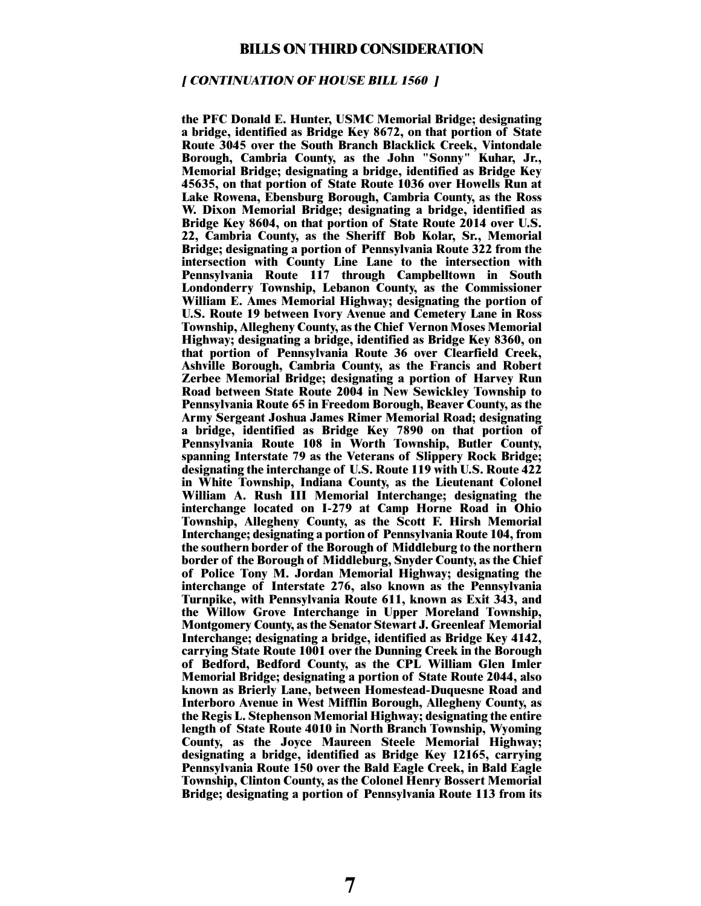#### **[ CONTINUATION OF HOUSE BILL 1560 ]**

**the PFC Donald E. Hunter, USMC Memorial Bridge; designating a bridge, identified as Bridge Key 8672, on that portion of State Route 3045 over the South Branch Blacklick Creek, Vintondale Borough, Cambria County, as the John "Sonny" Kuhar, Jr., Memorial Bridge; designating a bridge, identified as Bridge Key 45635, on that portion of State Route 1036 over Howells Run at Lake Rowena, Ebensburg Borough, Cambria County, as the Ross W. Dixon Memorial Bridge; designating a bridge, identified as Bridge Key 8604, on that portion of State Route 2014 over U.S. 22, Cambria County, as the Sheriff Bob Kolar, Sr., Memorial Bridge; designating a portion of Pennsylvania Route 322 from the intersection with County Line Lane to the intersection with Pennsylvania Route 117 through Campbelltown in South Londonderry Township, Lebanon County, as the Commissioner William E. Ames Memorial Highway; designating the portion of U.S. Route 19 between Ivory Avenue and Cemetery Lane in Ross Township, Allegheny County, as the Chief Vernon Moses Memorial Highway; designating a bridge, identified as Bridge Key 8360, on that portion of Pennsylvania Route 36 over Clearfield Creek, Ashville Borough, Cambria County, as the Francis and Robert Zerbee Memorial Bridge; designating a portion of Harvey Run Road between State Route 2004 in New Sewickley Township to Pennsylvania Route 65 in Freedom Borough, Beaver County, as the Army Sergeant Joshua James Rimer Memorial Road; designating a bridge, identified as Bridge Key 7890 on that portion of Pennsylvania Route 108 in Worth Township, Butler County, spanning Interstate 79 as the Veterans of Slippery Rock Bridge; designating the interchange of U.S. Route 119 with U.S. Route 422 in White Township, Indiana County, as the Lieutenant Colonel William A. Rush III Memorial Interchange; designating the interchange located on I-279 at Camp Horne Road in Ohio Township, Allegheny County, as the Scott F. Hirsh Memorial Interchange; designating a portion of Pennsylvania Route 104, from the southern border of the Borough of Middleburg to the northern border of the Borough of Middleburg, Snyder County, as the Chief of Police Tony M. Jordan Memorial Highway; designating the interchange of Interstate 276, also known as the Pennsylvania Turnpike, with Pennsylvania Route 611, known as Exit 343, and the Willow Grove Interchange in Upper Moreland Township, Montgomery County, as the Senator Stewart J. Greenleaf Memorial Interchange; designating a bridge, identified as Bridge Key 4142, carrying State Route 1001 over the Dunning Creek in the Borough of Bedford, Bedford County, as the CPL William Glen Imler Memorial Bridge; designating a portion of State Route 2044, also known as Brierly Lane, between Homestead-Duquesne Road and Interboro Avenue in West Mifflin Borough, Allegheny County, as the Regis L. Stephenson Memorial Highway; designating the entire length of State Route 4010 in North Branch Township, Wyoming County, as the Joyce Maureen Steele Memorial Highway; designating a bridge, identified as Bridge Key 12165, carrying Pennsylvania Route 150 over the Bald Eagle Creek, in Bald Eagle Township, Clinton County, as the Colonel Henry Bossert Memorial Bridge; designating a portion of Pennsylvania Route 113 from its**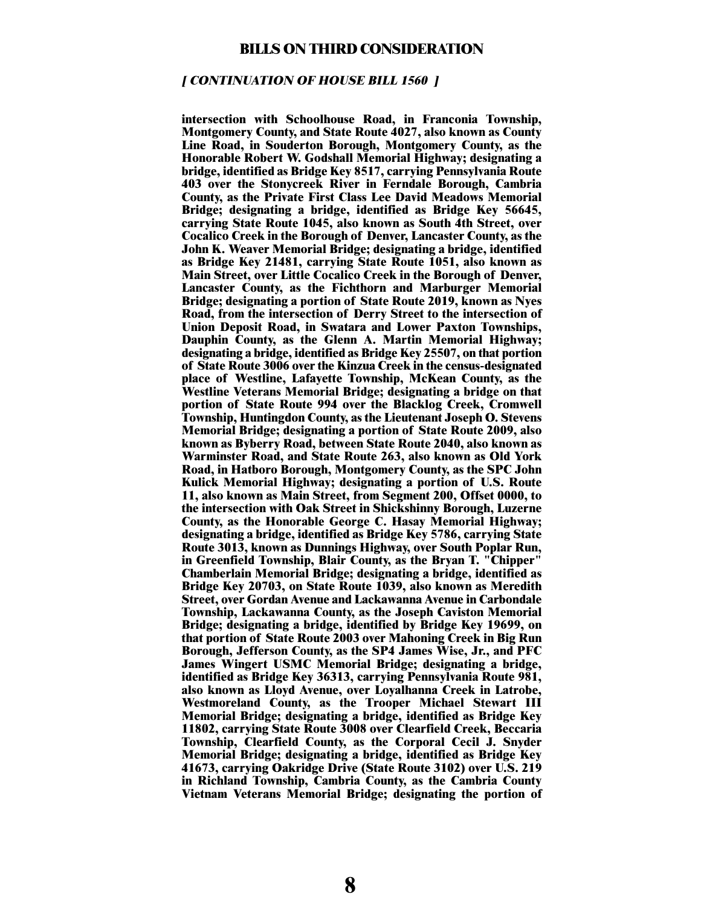#### **[ CONTINUATION OF HOUSE BILL 1560 ]**

**intersection with Schoolhouse Road, in Franconia Township, Montgomery County, and State Route 4027, also known as County Line Road, in Souderton Borough, Montgomery County, as the Honorable Robert W. Godshall Memorial Highway; designating a bridge, identified as Bridge Key 8517, carrying Pennsylvania Route 403 over the Stonycreek River in Ferndale Borough, Cambria County, as the Private First Class Lee David Meadows Memorial Bridge; designating a bridge, identified as Bridge Key 56645, carrying State Route 1045, also known as South 4th Street, over Cocalico Creek in the Borough of Denver, Lancaster County, as the John K. Weaver Memorial Bridge; designating a bridge, identified as Bridge Key 21481, carrying State Route 1051, also known as Main Street, over Little Cocalico Creek in the Borough of Denver, Lancaster County, as the Fichthorn and Marburger Memorial Bridge; designating a portion of State Route 2019, known as Nyes Road, from the intersection of Derry Street to the intersection of Union Deposit Road, in Swatara and Lower Paxton Townships, Dauphin County, as the Glenn A. Martin Memorial Highway; designating a bridge, identified as Bridge Key 25507, on that portion of State Route 3006 over the Kinzua Creek in the census-designated place of Westline, Lafayette Township, McKean County, as the Westline Veterans Memorial Bridge; designating a bridge on that portion of State Route 994 over the Blacklog Creek, Cromwell Township, Huntingdon County, as the Lieutenant Joseph O. Stevens Memorial Bridge; designating a portion of State Route 2009, also known as Byberry Road, between State Route 2040, also known as Warminster Road, and State Route 263, also known as Old York Road, in Hatboro Borough, Montgomery County, as the SPC John Kulick Memorial Highway; designating a portion of U.S. Route 11, also known as Main Street, from Segment 200, Offset 0000, to the intersection with Oak Street in Shickshinny Borough, Luzerne County, as the Honorable George C. Hasay Memorial Highway; designating a bridge, identified as Bridge Key 5786, carrying State Route 3013, known as Dunnings Highway, over South Poplar Run, in Greenfield Township, Blair County, as the Bryan T. "Chipper" Chamberlain Memorial Bridge; designating a bridge, identified as Bridge Key 20703, on State Route 1039, also known as Meredith Street, over Gordan Avenue and Lackawanna Avenue in Carbondale Township, Lackawanna County, as the Joseph Caviston Memorial Bridge; designating a bridge, identified by Bridge Key 19699, on that portion of State Route 2003 over Mahoning Creek in Big Run Borough, Jefferson County, as the SP4 James Wise, Jr., and PFC James Wingert USMC Memorial Bridge; designating a bridge, identified as Bridge Key 36313, carrying Pennsylvania Route 981, also known as Lloyd Avenue, over Loyalhanna Creek in Latrobe, Westmoreland County, as the Trooper Michael Stewart III Memorial Bridge; designating a bridge, identified as Bridge Key 11802, carrying State Route 3008 over Clearfield Creek, Beccaria Township, Clearfield County, as the Corporal Cecil J. Snyder Memorial Bridge; designating a bridge, identified as Bridge Key 41673, carrying Oakridge Drive (State Route 3102) over U.S. 219 in Richland Township, Cambria County, as the Cambria County Vietnam Veterans Memorial Bridge; designating the portion of**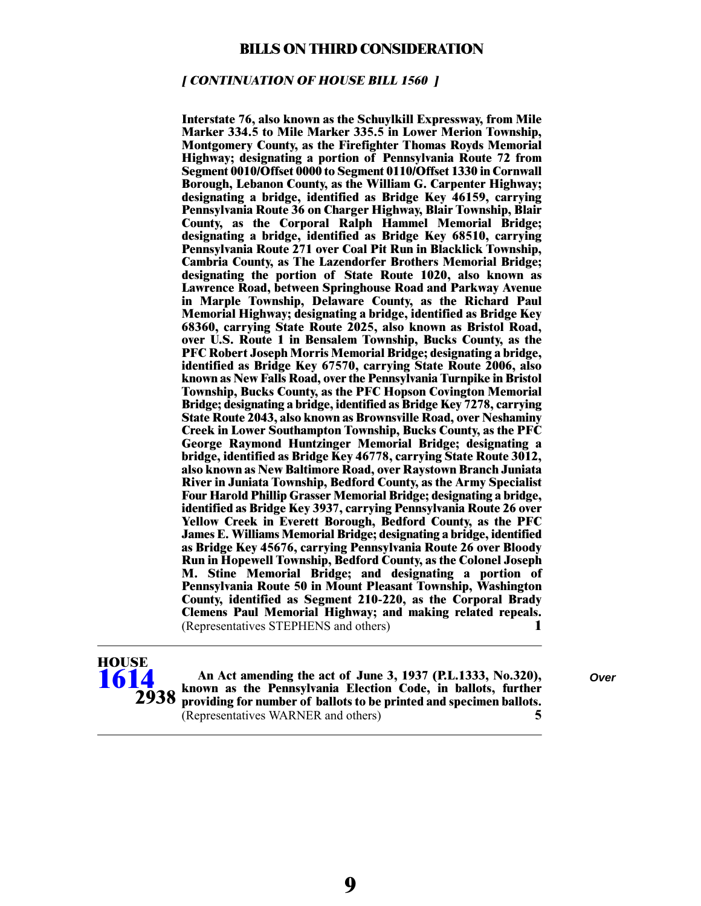#### **[ CONTINUATION OF HOUSE BILL 1560 ]**

**Interstate 76, also known as the Schuylkill Expressway, from Mile Marker 334.5 to Mile Marker 335.5 in Lower Merion Township, Montgomery County, as the Firefighter Thomas Royds Memorial Highway; designating a portion of Pennsylvania Route 72 from Segment 0010/Offset 0000 to Segment 0110/Offset 1330 in Cornwall Borough, Lebanon County, as the William G. Carpenter Highway; designating a bridge, identified as Bridge Key 46159, carrying Pennsylvania Route 36 on Charger Highway, Blair Township, Blair County, as the Corporal Ralph Hammel Memorial Bridge; designating a bridge, identified as Bridge Key 68510, carrying Pennsylvania Route 271 over Coal Pit Run in Blacklick Township, Cambria County, as The Lazendorfer Brothers Memorial Bridge; designating the portion of State Route 1020, also known as Lawrence Road, between Springhouse Road and Parkway Avenue in Marple Township, Delaware County, as the Richard Paul Memorial Highway; designating a bridge, identified as Bridge Key 68360, carrying State Route 2025, also known as Bristol Road, over U.S. Route 1 in Bensalem Township, Bucks County, as the PFC Robert Joseph Morris Memorial Bridge; designating a bridge, identified as Bridge Key 67570, carrying State Route 2006, also known as New Falls Road, over the Pennsylvania Turnpike in Bristol Township, Bucks County, as the PFC Hopson Covington Memorial Bridge; designating a bridge, identified as Bridge Key 7278, carrying State Route 2043, also known as Brownsville Road, over Neshaminy Creek in Lower Southampton Township, Bucks County, as the PFC George Raymond Huntzinger Memorial Bridge; designating a bridge, identified as Bridge Key 46778, carrying State Route 3012, also known as New Baltimore Road, over Raystown Branch Juniata River in Juniata Township, Bedford County, as the Army Specialist Four Harold Phillip Grasser Memorial Bridge; designating a bridge, identified as Bridge Key 3937, carrying Pennsylvania Route 26 over Yellow Creek in Everett Borough, Bedford County, as the PFC James E. Williams Memorial Bridge; designating a bridge, identified as Bridge Key 45676, carrying Pennsylvania Route 26 over Bloody Run in Hopewell Township, Bedford County, as the Colonel Joseph M. Stine Memorial Bridge; and designating a portion of Pennsylvania Route 50 in Mount Pleasant Township, Washington County, identified as Segment 210-220, as the Corporal Brady Clemens Paul Memorial Highway; and making related repeals.** (Representatives STEPHENS and others) **1**



**An Act amending the act of June 3, 1937 (P.L.1333, No.320),** *Over* **known as the Pennsylvania Election Code, in ballots, further providing for number of ballots to be printed and specimen ballots.** (Representatives WARNER and others) **5**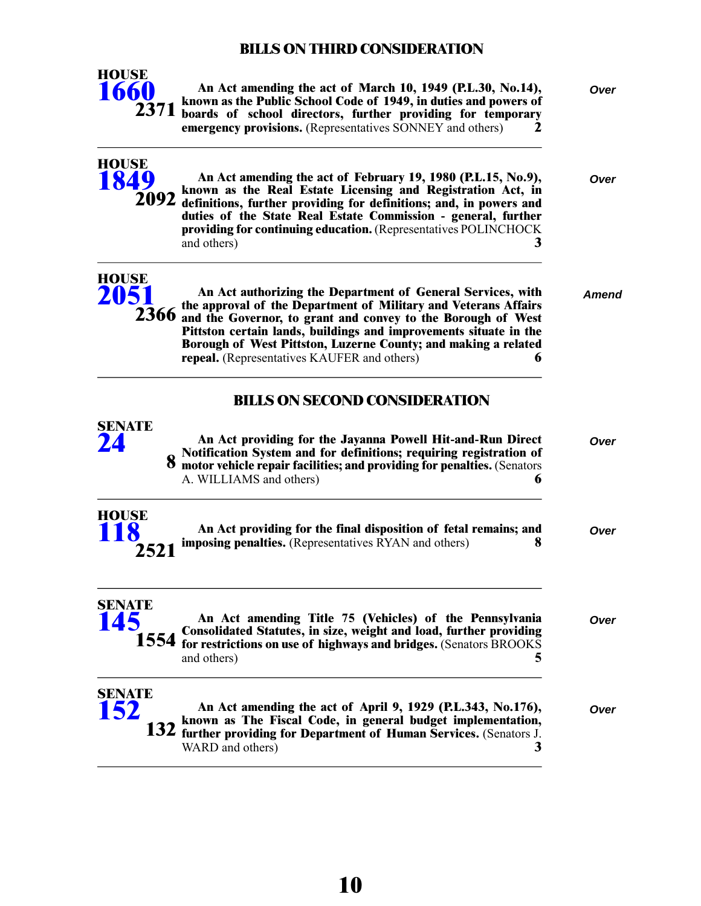

**An Act amending the act of March 10, 1949 (P.L.30, No.14),** *Over* **known as the Public School Code of 1949, in duties and powers of boards of school directors, further providing for temporary emergency provisions.** (Representatives SONNEY and others) **2**

| <b>HOUSE</b><br>1849         | An Act amending the act of February 19, 1980 (P.L.15, No.9),<br>known as the Real Estate Licensing and Registration Act, in<br>2092 definitions, further providing for definitions; and, in powers and<br>duties of the State Real Estate Commission - general, further<br>providing for continuing education. (Representatives POLINCHOCK<br>3<br>and others)                              | Over  |
|------------------------------|---------------------------------------------------------------------------------------------------------------------------------------------------------------------------------------------------------------------------------------------------------------------------------------------------------------------------------------------------------------------------------------------|-------|
| <b>HOUSE</b><br>2051<br>2366 | An Act authorizing the Department of General Services, with<br>the approval of the Department of Military and Veterans Affairs<br>and the Governor, to grant and convey to the Borough of West<br>Pittston certain lands, buildings and improvements situate in the<br>Borough of West Pittston, Luzerne County; and making a related<br><b>repeal.</b> (Representatives KAUFER and others) | Amend |
|                              | <b>BILLS ON SECOND CONSIDERATION</b>                                                                                                                                                                                                                                                                                                                                                        |       |
| SENATE<br>24                 | An Act providing for the Jayanna Powell Hit-and-Run Direct<br>Notification System and for definitions; requiring registration of motor vehicle repair facilities; and providing for penalties. (Senators<br>A. WILLIAMS and others)<br>h                                                                                                                                                    | Over  |
| <b>HOUSE</b><br>2521         | An Act providing for the final disposition of fetal remains; and<br><b>imposing penalties.</b> (Representatives RYAN and others)<br>x                                                                                                                                                                                                                                                       | Over  |
| SENATE<br>145<br>1554        | An Act amending Title 75 (Vehicles) of the Pennsylvania<br>Consolidated Statutes, in size, weight and load, further providing<br>for restrictions on use of highways and bridges. (Senators BROOKS<br>5<br>and others)                                                                                                                                                                      | Over  |
| SENATE<br>152                | An Act amending the act of April 9, 1929 (P.L.343, No.176),<br>known as The Fiscal Code, in general budget implementation,<br><b>132</b> further providing for Department of Human Services. (Senators J.<br>WARD and others)<br>3                                                                                                                                                          | Over  |
|                              |                                                                                                                                                                                                                                                                                                                                                                                             |       |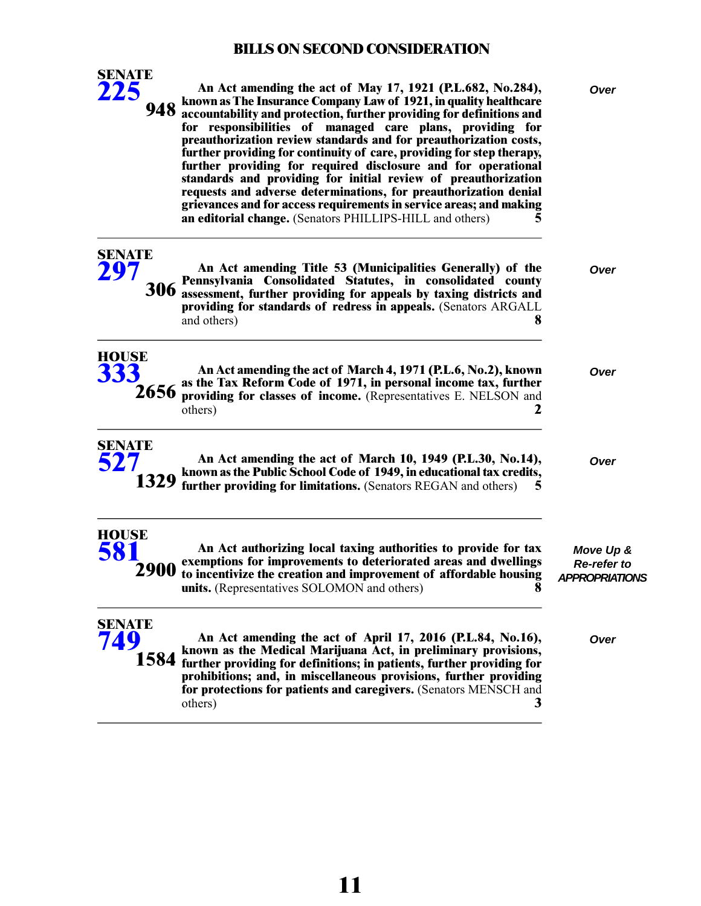| <b>SENATE</b><br>225<br>948  | An Act amending the act of May 17, 1921 (P.L.682, No.284),<br>known as The Insurance Company Law of 1921, in quality healthcare<br>accountability and protection, further providing for definitions and<br>for responsibilities of managed care plans, providing for<br>preauthorization review standards and for preauthorization costs,<br>further providing for continuity of care, providing for step therapy,<br>further providing for required disclosure and for operational<br>standards and providing for initial review of preauthorization<br>requests and adverse determinations, for preauthorization denial<br>grievances and for access requirements in service areas; and making<br>an editorial change. (Senators PHILLIPS-HILL and others)<br>5 | Over                                                     |
|------------------------------|-------------------------------------------------------------------------------------------------------------------------------------------------------------------------------------------------------------------------------------------------------------------------------------------------------------------------------------------------------------------------------------------------------------------------------------------------------------------------------------------------------------------------------------------------------------------------------------------------------------------------------------------------------------------------------------------------------------------------------------------------------------------|----------------------------------------------------------|
| <b>SENATE</b><br>297<br>306  | An Act amending Title 53 (Municipalities Generally) of the<br>Pennsylvania Consolidated Statutes, in consolidated county<br>assessment, further providing for appeals by taxing districts and<br>providing for standards of redress in appeals. (Senators ARGALL<br>and others)<br>8                                                                                                                                                                                                                                                                                                                                                                                                                                                                              | Over                                                     |
| <b>HOUSE</b><br>333<br>2656  | An Act amending the act of March 4, 1971 (P.L.6, No.2), known<br>as the Tax Reform Code of 1971, in personal income tax, further<br>providing for classes of income. (Representatives E. NELSON and<br>2<br>others)                                                                                                                                                                                                                                                                                                                                                                                                                                                                                                                                               | Over                                                     |
| <b>SENATE</b><br>527         | An Act amending the act of March 10, 1949 (P.L.30, No.14),<br>known as the Public School Code of 1949, in educational tax credits,<br>1329 further providing for limitations. (Senators REGAN and others)<br>5                                                                                                                                                                                                                                                                                                                                                                                                                                                                                                                                                    | Over                                                     |
| <b>HOUSE</b><br>581<br>2900  | An Act authorizing local taxing authorities to provide for tax<br>exemptions for improvements to deteriorated areas and dwellings<br>to incentivize the creation and improvement of affordable housing<br><b>units.</b> (Representatives SOLOMON and others)<br>8                                                                                                                                                                                                                                                                                                                                                                                                                                                                                                 | Move Up &<br><b>Re-refer to</b><br><b>APPROPRIATIONS</b> |
| <b>SENATE</b><br>749<br>1584 | An Act amending the act of April 17, 2016 (P.L.84, No.16),<br>known as the Medical Marijuana Act, in preliminary provisions,<br>further providing for definitions; in patients, further providing for<br>prohibitions; and, in miscellaneous provisions, further providing<br>for protections for patients and caregivers. (Senators MENSCH and<br>others)<br>3                                                                                                                                                                                                                                                                                                                                                                                                   | Over                                                     |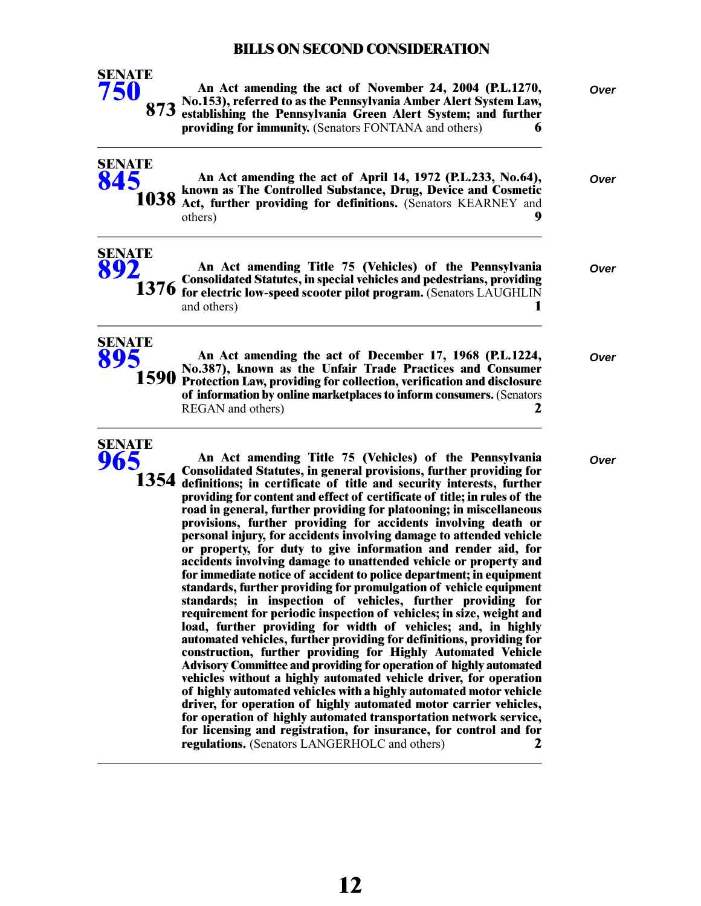

**SENATE [845](/cfdocs/billinfo/billinfo.cfm?syear=2021&sind=0&body=S&type=B&bn=845)**

**SENATE**

**SENATE [965](/cfdocs/billinfo/billinfo.cfm?syear=2021&sind=0&body=S&type=B&bn=965)**

**1038**

**An Act amending the act of November 24, 2004 (P.L.1270,** *Over* **No.153), referred to as the Pennsylvania Amber Alert System Law, establishing the Pennsylvania Green Alert System; and further 873 providing for immunity.** (Senators FONTANA and others) **6**

**An Act amending the act of April 14, 1972 (P.L.233, No.64),** *Over* **known as The Controlled Substance, Drug, Device and Cosmetic Act, further providing for definitions.** (Senators KEARNEY and others) **9**

| SLINALL<br>892 | An Act amending Title 75 (Vehicles) of the Pennsylvania<br>1376 Consolidated Statutes, in special vehicles and pedestrians, providing<br>1376 for electric low-speed scooter pilot program. (Senators LAUGHLIN<br>and others) | Over |
|----------------|-------------------------------------------------------------------------------------------------------------------------------------------------------------------------------------------------------------------------------|------|
| SENATE<br>895  | An Act amending the act of December 17, 1968 (P.L.1224,<br>$\frac{1}{4}$ $\approx$ $\approx$ No.387), known as the Unfair Trade Practices and Consumer                                                                        | Over |

**No.387), known as the Unfair Trade Practices and Consumer Protection Law, providing for collection, verification and disclosure of information by online marketplaces to inform consumers.**(Senators REGAN and others) **2 1590**

**An Act amending Title 75 (Vehicles) of the Pennsylvania** *Over* **Consolidated Statutes, in general provisions, further providing for definitions; in certificate of title and security interests, further providing for content and effect of certificate of title; in rules of the road in general, further providing for platooning; in miscellaneous provisions, further providing for accidents involving death or 1354 personal injury, for accidents involving damage to attended vehicle or property, for duty to give information and render aid, for accidents involving damage to unattended vehicle or property and for immediate notice of accident to police department; in equipment standards, further providing for promulgation of vehicle equipment standards; in inspection of vehicles, further providing for requirement for periodic inspection of vehicles; in size, weight and load, further providing for width of vehicles; and, in highly automated vehicles, further providing for definitions, providing for construction, further providing for Highly Automated Vehicle Advisory Committee and providing for operation of highly automated vehicles without a highly automated vehicle driver, for operation of highly automated vehicles with a highly automated motor vehicle driver, for operation of highly automated motor carrier vehicles, for operation of highly automated transportation network service, for licensing and registration, for insurance, for control and for regulations.** (Senators LANGERHOLC and others) **2**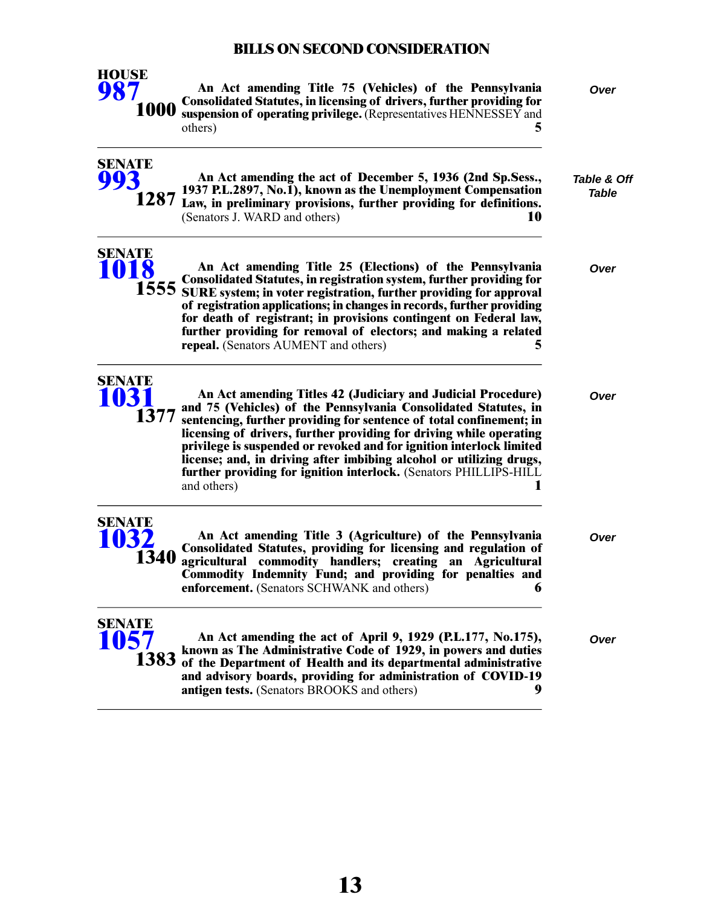

**SENATE [993](/cfdocs/billinfo/billinfo.cfm?syear=2021&sind=0&body=S&type=B&bn=993)**

**SENATE [1018](/cfdocs/billinfo/billinfo.cfm?syear=2021&sind=0&body=S&type=B&bn=1018)**

**An Act amending Title 75 (Vehicles) of the Pennsylvania** *Over* **Consolidated Statutes, in licensing of drivers, further providing for suspension of operating privilege.** (Representatives HENNESSEY and others) **5**

| <b>Table &amp; Off</b> |  |
|------------------------|--|
| Table                  |  |

**An Act amending the act of December 5, 1936 (2nd Sp.Sess., 1937 P.L.2897, No.1), known as the Unemployment Compensation 1287** Law, in preliminary provisions, further providing for definitions. (Senators J. WARD and others) **10**

**An Act amending Title 25 (Elections) of the Pennsylvania** *Over*

**Consolidated Statutes, in registration system, further providing for 1555** SURE system; in voter registration, further providing for approval **of registration applications; in changes in records, further providing for death of registrant; in provisions contingent on Federal law, further providing for removal of electors; and making a related repeal.** (Senators AUMENT and others) **5**



**SENATE [1032](/cfdocs/billinfo/billinfo.cfm?syear=2021&sind=0&body=S&type=B&bn=1032)**

**An Act amending Titles 42 (Judiciary and Judicial Procedure)** *Over* **and 75 (Vehicles) of the Pennsylvania Consolidated Statutes, in sentencing, further providing for sentence of total confinement; in licensing of drivers, further providing for driving while operating privilege is suspended or revoked and for ignition interlock limited license; and, in driving after imbibing alcohol or utilizing drugs, further providing for ignition interlock.** (Senators PHILLIPS-HILL and others) **1**

**An Act amending Title 3 (Agriculture) of the Pennsylvania** *Over* **Consolidated Statutes, providing for licensing and regulation of agricultural commodity handlers; creating an Agricultural Commodity Indemnity Fund; and providing for penalties and enforcement.** (Senators SCHWANK and others) **6 1340**



**An Act amending the act of April 9, 1929 (P.L.177, No.175),** *Over* **known as The Administrative Code of 1929, in powers and duties of the Department of Health and its departmental administrative and advisory boards, providing for administration of COVID-19 antigen tests.** (Senators BROOKS and others) **9**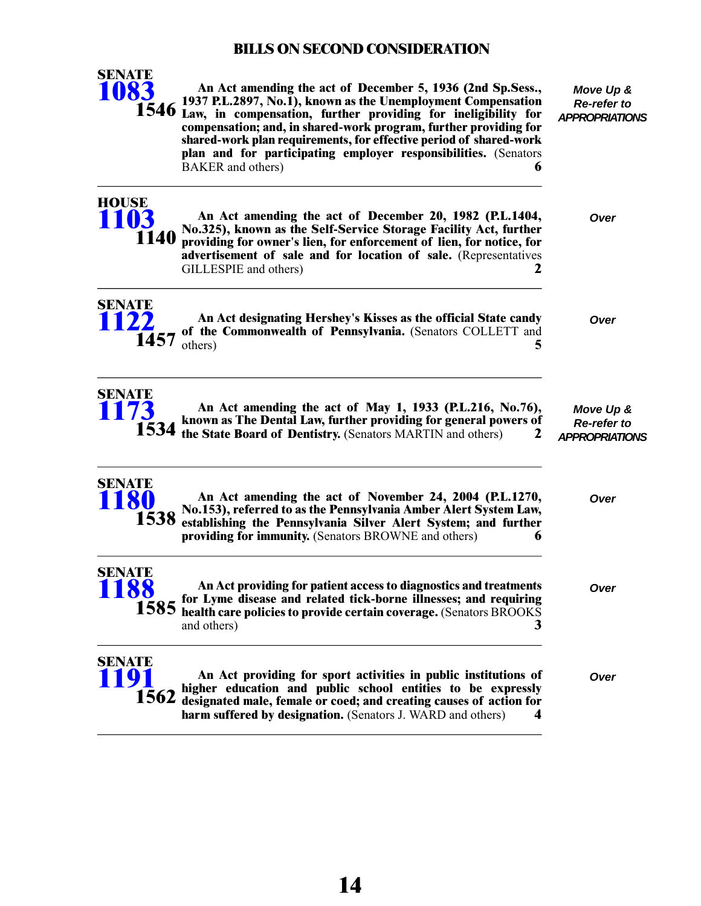

**HOUSE**

*APPROPRIATIONS* **An Act amending the act of December 5, 1936 (2nd Sp.Sess., 1937 P.L.2897, No.1), known as the Unemployment Compensation 1546** Law, in compensation, further providing for ineligibility for **compensation; and, in shared-work program, further providing for shared-work plan requirements, for effective period of shared-work plan and for participating employer responsibilities.** (Senators BAKER and others) **6** 

#### **An Act amending the act of December 20, 1982 (P.L.1404,** *Over* **No.325), known as the Self-Service Storage Facility Act, further providing for owner's lien, for enforcement of lien, for notice, for advertisement of sale and for location of sale.** (Representatives GILLESPIE and others) **2 [1103](/cfdocs/billinfo/billinfo.cfm?syear=2021&sind=0&body=H&type=B&bn=1103) 1140**



**An Act designating Hershey's Kisses as the official State candy** *Over* **of the Commonwealth of Pennsylvania.** (Senators COLLETT and **1457** others) **5** 



**An Act amending the act of May 1, 1933 (P.L.216, No.76), known as The Dental Law, further providing for general powers of the State Board of Dentistry.** (Senators MARTIN and others) **2**

*Move Up & Re-refer to APPROPRIATIONS*

*Move Up & Re-refer to*

| <b>SENATE</b> |  |
|---------------|--|
| 80            |  |
|               |  |
| 538           |  |

**SENATE [1191](/cfdocs/billinfo/billinfo.cfm?syear=2021&sind=0&body=S&type=B&bn=1191)**

| <b>TION</b>           | THE TIGHT MINUTES OF A CONSTRUCT 2 IN 2001 (INDITE: 0)<br>No.153), referred to as the Pennsylvania Amber Alert System Law,<br>1538 establishing the Pennsylvania Silver Alert System; and further<br>providing for immunity. (Senators BROWNE and others)<br>6 | vvu  |
|-----------------------|----------------------------------------------------------------------------------------------------------------------------------------------------------------------------------------------------------------------------------------------------------------|------|
| <b>SENATE</b><br>1188 | An Act providing for patient access to diagnostics and treatments<br>1585 for Lyme disease and related tick-borne illnesses; and requiring 1585 health care policies to provide certain coverage. (Senators BROOKS                                             | Over |
|                       | and others)                                                                                                                                                                                                                                                    |      |
|                       |                                                                                                                                                                                                                                                                |      |

**An Act amending the act of November 24, 2004 (P.L.1270,** *Over*

**An Act providing for sport activities in public institutions of** *Over* **higher education and public school entities to be expressly designated male, female or coed; and creating causes of action for harm suffered by designation.** (Senators J. WARD and others) **4 1562**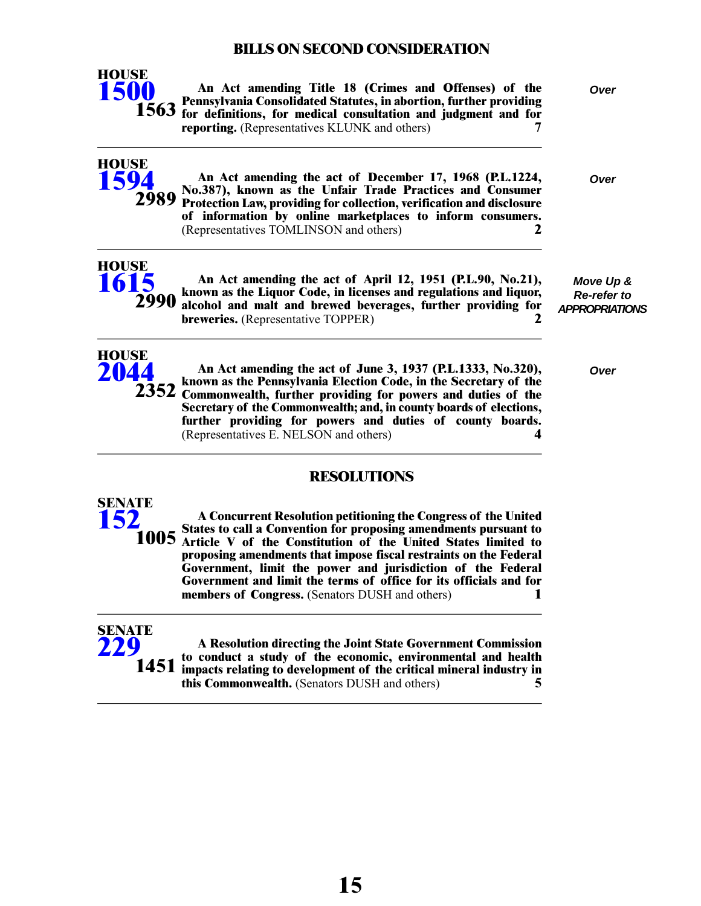

**HOUSE [1594](/cfdocs/billinfo/billinfo.cfm?syear=2021&sind=0&body=H&type=B&bn=1594)**

**HOUSE**

**An Act amending Title 18 (Crimes and Offenses) of the** *Over* **Pennsylvania Consolidated Statutes, in abortion, further providing for definitions, for medical consultation and judgment and for reporting.** (Representatives KLUNK and others) **7**

**An Act amending the act of December 17, 1968 (P.L.1224,** *Over* **No.387), known as the Unfair Trade Practices and Consumer Protection Law, providing for collection, verification and disclosure of information by online marketplaces to inform consumers.**

(Representatives TOMLINSON and others) **2**

**[1615](/cfdocs/billinfo/billinfo.cfm?syear=2021&sind=0&body=H&type=B&bn=1615) 2990**

**2989**

**An Act amending the act of April 12, 1951 (P.L.90, No.21), known as the Liquor Code, in licenses and regulations and liquor, alcohol and malt and brewed beverages, further providing for breweries.** (Representative TOPPER) **2**

*Move Up & Re-refer to APPROPRIATIONS*



**An Act amending the act of June 3, 1937 (P.L.1333, No.320),** *Over* **known as the Pennsylvania Election Code, in the Secretary of the** 2352 Commonwealth, further providing for powers and duties of the **Secretary of the Commonwealth; and, in county boards of elections, further providing for powers and duties of county boards.** (Representatives E. NELSON and others) **4**

## **RESOLUTIONS**

**A Concurrent Resolution petitioning the Congress of the United States to call a Convention for proposing amendments pursuant to Article V of the Constitution of the United States limited to proposing amendments that impose fiscal restraints on the Federal Government, limit the power and jurisdiction of the Federal Government and limit the terms of office for its officials and for members of Congress.** (Senators DUSH and others) **1 SENATE 1005**



**[152](/cfdocs/billinfo/billinfo.cfm?syear=2021&sind=0&body=S&type=R&bn=152)**

**A Resolution directing the Joint State Government Commission to conduct a study of the economic, environmental and health impacts relating to development of the critical mineral industry in this Commonwealth.** (Senators DUSH and others) **5**